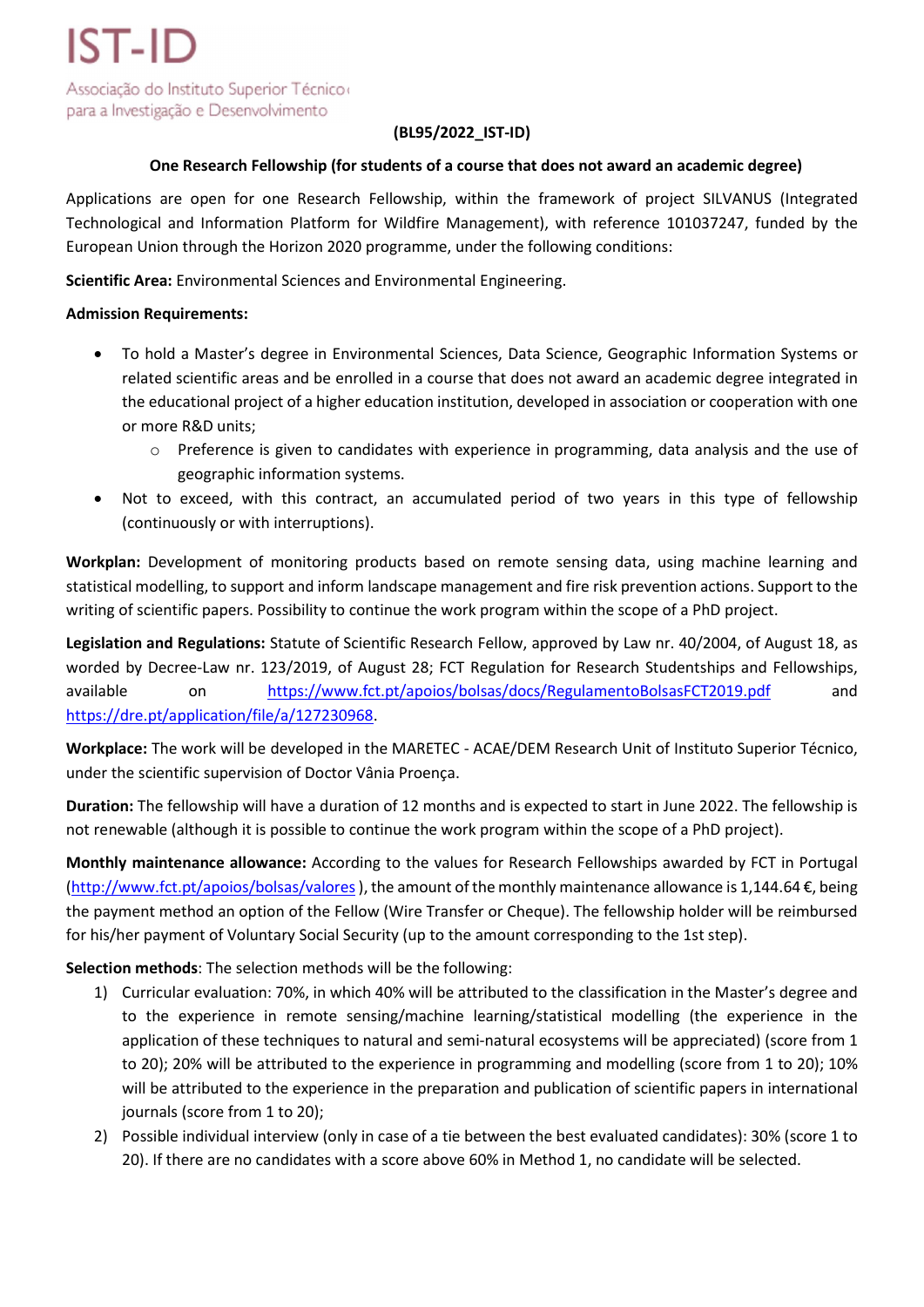## (BL95/2022\_IST-ID)

## One Research Fellowship (for students of a course that does not award an academic degree)

Applications are open for one Research Fellowship, within the framework of project SILVANUS (Integrated Technological and Information Platform for Wildfire Management), with reference 101037247, funded by the European Union through the Horizon 2020 programme, under the following conditions:

Scientific Area: Environmental Sciences and Environmental Engineering.

### Admission Requirements:

- To hold a Master's degree in Environmental Sciences, Data Science, Geographic Information Systems or related scientific areas and be enrolled in a course that does not award an academic degree integrated in the educational project of a higher education institution, developed in association or cooperation with one or more R&D units;
	- $\circ$  Preference is given to candidates with experience in programming, data analysis and the use of geographic information systems.
- Not to exceed, with this contract, an accumulated period of two years in this type of fellowship (continuously or with interruptions).

Workplan: Development of monitoring products based on remote sensing data, using machine learning and statistical modelling, to support and inform landscape management and fire risk prevention actions. Support to the writing of scientific papers. Possibility to continue the work program within the scope of a PhD project.

Legislation and Regulations: Statute of Scientific Research Fellow, approved by Law nr. 40/2004, of August 18, as worded by Decree-Law nr. 123/2019, of August 28; FCT Regulation for Research Studentships and Fellowships, available on https://www.fct.pt/apoios/bolsas/docs/RegulamentoBolsasFCT2019.pdf and https://dre.pt/application/file/a/127230968.

Workplace: The work will be developed in the MARETEC - ACAE/DEM Research Unit of Instituto Superior Técnico, under the scientific supervision of Doctor Vânia Proença.

Duration: The fellowship will have a duration of 12 months and is expected to start in June 2022. The fellowship is not renewable (although it is possible to continue the work program within the scope of a PhD project).

Monthly maintenance allowance: According to the values for Research Fellowships awarded by FCT in Portugal (http://www.fct.pt/apoios/bolsas/valores ), the amount of the monthly maintenance allowance is 1,144.64 €, being the payment method an option of the Fellow (Wire Transfer or Cheque). The fellowship holder will be reimbursed for his/her payment of Voluntary Social Security (up to the amount corresponding to the 1st step).

Selection methods: The selection methods will be the following:

- 1) Curricular evaluation: 70%, in which 40% will be attributed to the classification in the Master's degree and to the experience in remote sensing/machine learning/statistical modelling (the experience in the application of these techniques to natural and semi-natural ecosystems will be appreciated) (score from 1 to 20); 20% will be attributed to the experience in programming and modelling (score from 1 to 20); 10% will be attributed to the experience in the preparation and publication of scientific papers in international journals (score from 1 to 20);
- 2) Possible individual interview (only in case of a tie between the best evaluated candidates): 30% (score 1 to 20). If there are no candidates with a score above 60% in Method 1, no candidate will be selected.